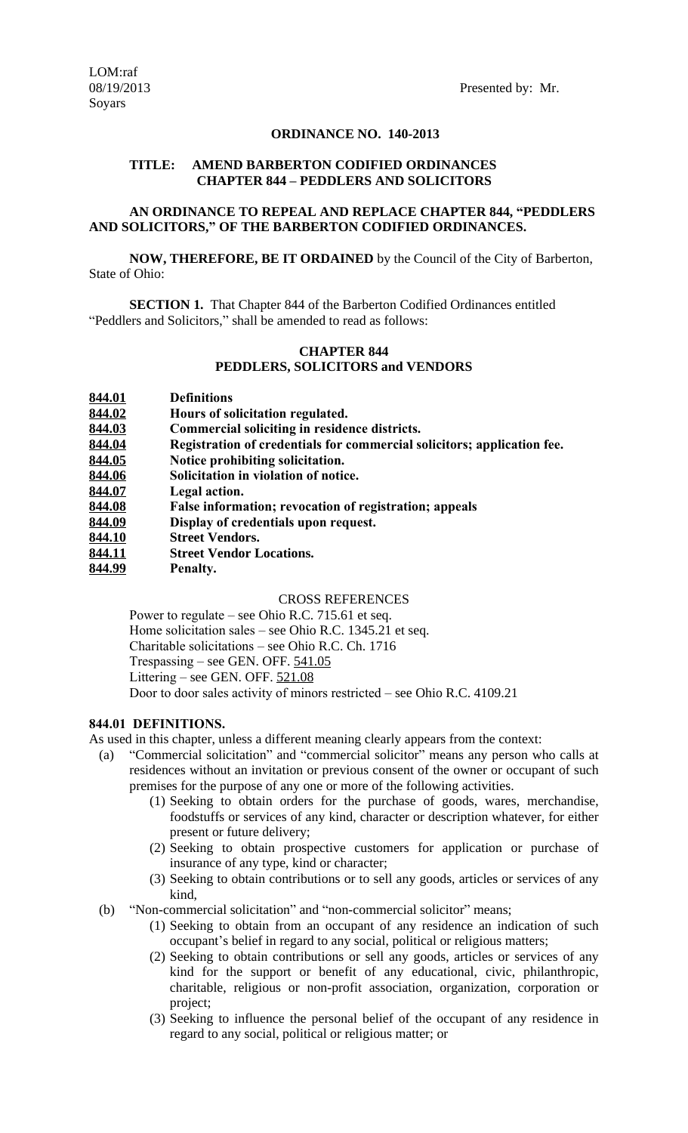## **ORDINANCE NO. 140-2013**

## **TITLE: AMEND BARBERTON CODIFIED ORDINANCES CHAPTER 844 – PEDDLERS AND SOLICITORS**

# **AN ORDINANCE TO REPEAL AND REPLACE CHAPTER 844, "PEDDLERS AND SOLICITORS," OF THE BARBERTON CODIFIED ORDINANCES.**

**NOW, THEREFORE, BE IT ORDAINED** by the Council of the City of Barberton, State of Ohio:

**SECTION 1.** That Chapter 844 of the Barberton Codified Ordinances entitled "Peddlers and Solicitors," shall be amended to read as follows:

# **CHAPTER 844 PEDDLERS, SOLICITORS and VENDORS**

- **844.02 Hours of solicitation regulated.**
- **844.03 Commercial soliciting in residence districts.**
- **844.04 Registration of credentials for commercial solicitors; application fee.**
- **844.05 Notice prohibiting solicitation.**
- **844.06 Solicitation in violation of notice.**
- **844.07 Legal action.**
- **844.08 False information; revocation of registration; appeals**
- **844.09 Display of credentials upon request.**
- **844.10 Street Vendors.**
- **844.11 Street Vendor Locations.**
- **844.99 Penalty.**

#### CROSS REFERENCES

Power to regulate – see Ohio R.C. 715.61 et seq.

Home solicitation sales – see Ohio R.C. 1345.21 et seq.

Charitable solicitations – see Ohio R.C. Ch. 1716

Trespassing – see GEN. OFF. 541.05

Littering – see GEN. OFF. 521.08

Door to door sales activity of minors restricted – see Ohio R.C. 4109.21

## **844.01 DEFINITIONS.**

As used in this chapter, unless a different meaning clearly appears from the context:

- (a) "Commercial solicitation" and "commercial solicitor" means any person who calls at residences without an invitation or previous consent of the owner or occupant of such premises for the purpose of any one or more of the following activities.
	- (1) Seeking to obtain orders for the purchase of goods, wares, merchandise, foodstuffs or services of any kind, character or description whatever, for either present or future delivery;
	- (2) Seeking to obtain prospective customers for application or purchase of insurance of any type, kind or character;
	- (3) Seeking to obtain contributions or to sell any goods, articles or services of any kind,
- (b) "Non-commercial solicitation" and "non-commercial solicitor" means;
	- (1) Seeking to obtain from an occupant of any residence an indication of such occupant's belief in regard to any social, political or religious matters;
	- (2) Seeking to obtain contributions or sell any goods, articles or services of any kind for the support or benefit of any educational, civic, philanthropic, charitable, religious or non-profit association, organization, corporation or project;
	- (3) Seeking to influence the personal belief of the occupant of any residence in regard to any social, political or religious matter; or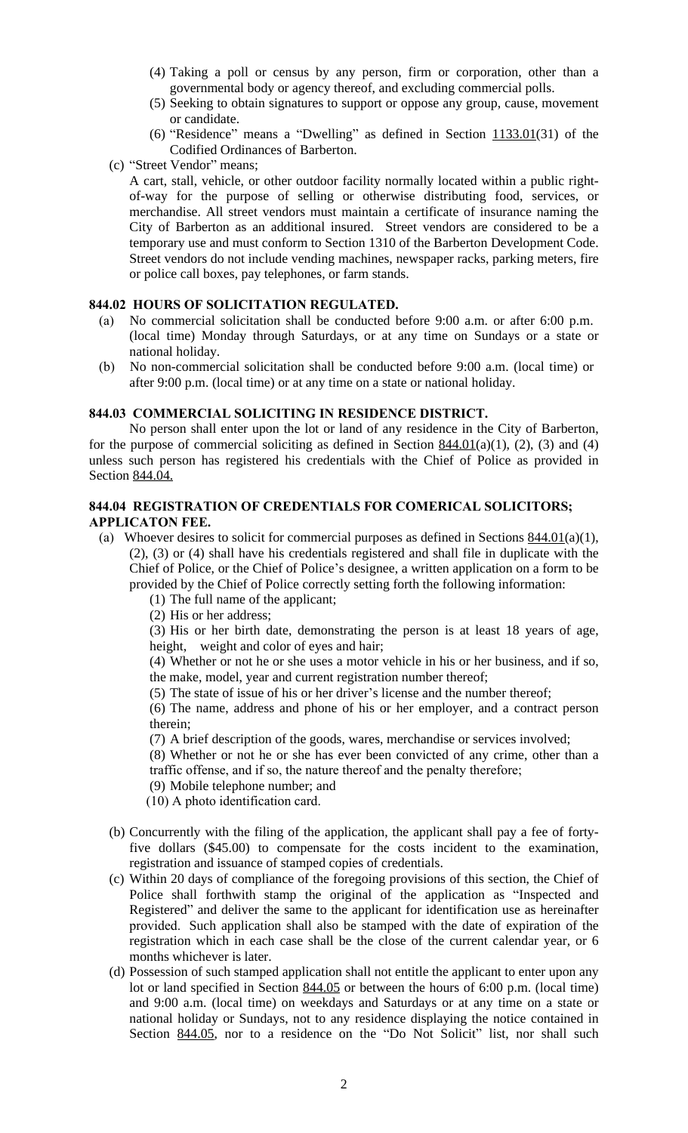- (4) Taking a poll or census by any person, firm or corporation, other than a governmental body or agency thereof, and excluding commercial polls.
- (5) Seeking to obtain signatures to support or oppose any group, cause, movement or candidate.
- (6) "Residence" means a "Dwelling" as defined in Section  $1133.01(31)$  of the Codified Ordinances of Barberton.
- (c) "Street Vendor" means;

A cart, stall, vehicle, or other outdoor facility normally located within a public rightof-way for the purpose of selling or otherwise distributing food, services, or merchandise. All street vendors must maintain a certificate of insurance naming the City of Barberton as an additional insured. Street vendors are considered to be a temporary use and must conform to Section 1310 of the Barberton Development Code. Street vendors do not include vending machines, newspaper racks, parking meters, fire or police call boxes, pay telephones, or farm stands.

#### **844.02 HOURS OF SOLICITATION REGULATED.**

- (a) No commercial solicitation shall be conducted before 9:00 a.m. or after 6:00 p.m. (local time) Monday through Saturdays, or at any time on Sundays or a state or national holiday.
- (b) No non-commercial solicitation shall be conducted before 9:00 a.m. (local time) or after 9:00 p.m. (local time) or at any time on a state or national holiday.

## **844.03 COMMERCIAL SOLICITING IN RESIDENCE DISTRICT.**

No person shall enter upon the lot or land of any residence in the City of Barberton, for the purpose of commercial soliciting as defined in Section  $844.01(a)(1)$ , (2), (3) and (4) unless such person has registered his credentials with the Chief of Police as provided in Section 844.04.

# **844.04 REGISTRATION OF CREDENTIALS FOR COMERICAL SOLICITORS; APPLICATON FEE.**

- (a) Whoever desires to solicit for commercial purposes as defined in Sections  $844.01(a)(1)$ , (2), (3) or (4) shall have his credentials registered and shall file in duplicate with the Chief of Police, or the Chief of Police's designee, a written application on a form to be provided by the Chief of Police correctly setting forth the following information:
	- (1) The full name of the applicant;
	- (2) His or her address;

(3) His or her birth date, demonstrating the person is at least 18 years of age, height, weight and color of eyes and hair;

(4) Whether or not he or she uses a motor vehicle in his or her business, and if so, the make, model, year and current registration number thereof;

(5) The state of issue of his or her driver's license and the number thereof;

(6) The name, address and phone of his or her employer, and a contract person therein;

(7) A brief description of the goods, wares, merchandise or services involved;

(8) Whether or not he or she has ever been convicted of any crime, other than a traffic offense, and if so, the nature thereof and the penalty therefore;

- (9) Mobile telephone number; and
- (10) A photo identification card.
- (b) Concurrently with the filing of the application, the applicant shall pay a fee of fortyfive dollars (\$45.00) to compensate for the costs incident to the examination, registration and issuance of stamped copies of credentials.
- (c) Within 20 days of compliance of the foregoing provisions of this section, the Chief of Police shall forthwith stamp the original of the application as "Inspected and Registered" and deliver the same to the applicant for identification use as hereinafter provided. Such application shall also be stamped with the date of expiration of the registration which in each case shall be the close of the current calendar year, or 6 months whichever is later.
- (d) Possession of such stamped application shall not entitle the applicant to enter upon any lot or land specified in Section 844.05 or between the hours of 6:00 p.m. (local time) and 9:00 a.m. (local time) on weekdays and Saturdays or at any time on a state or national holiday or Sundays, not to any residence displaying the notice contained in Section 844.05, nor to a residence on the "Do Not Solicit" list, nor shall such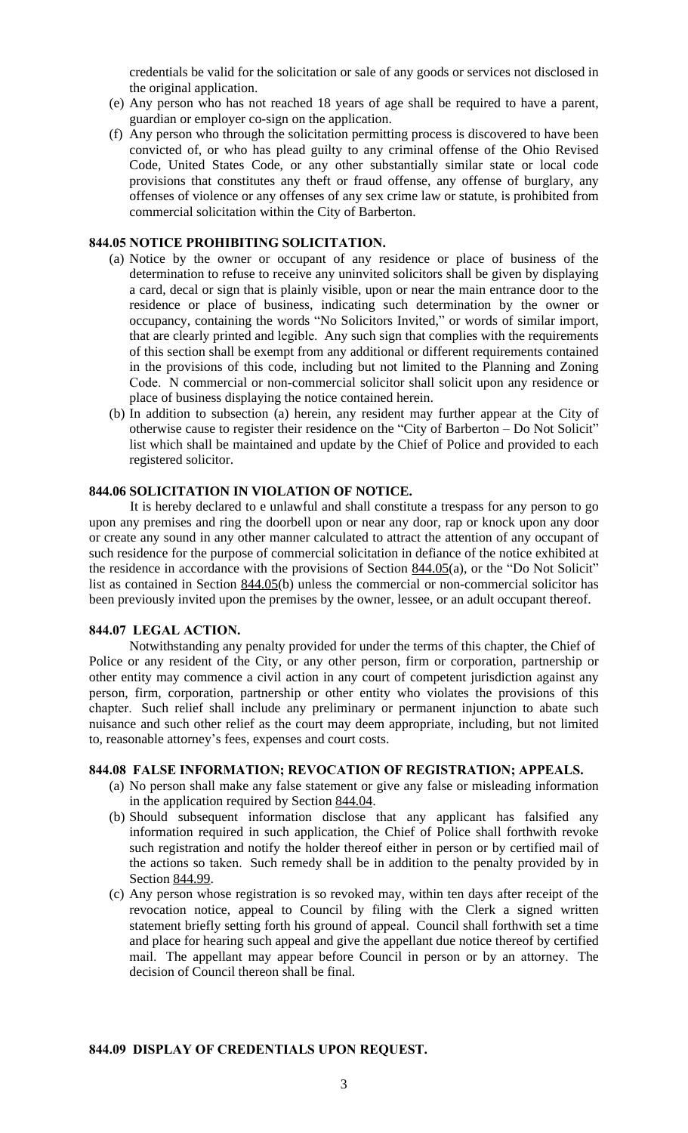credentials be valid for the solicitation or sale of any goods or services not disclosed in the original application.

- (e) Any person who has not reached 18 years of age shall be required to have a parent, guardian or employer co-sign on the application.
- (f) Any person who through the solicitation permitting process is discovered to have been convicted of, or who has plead guilty to any criminal offense of the Ohio Revised Code, United States Code, or any other substantially similar state or local code provisions that constitutes any theft or fraud offense, any offense of burglary, any offenses of violence or any offenses of any sex crime law or statute, is prohibited from commercial solicitation within the City of Barberton.

## **844.05 NOTICE PROHIBITING SOLICITATION.**

- (a) Notice by the owner or occupant of any residence or place of business of the determination to refuse to receive any uninvited solicitors shall be given by displaying a card, decal or sign that is plainly visible, upon or near the main entrance door to the residence or place of business, indicating such determination by the owner or occupancy, containing the words "No Solicitors Invited," or words of similar import, that are clearly printed and legible. Any such sign that complies with the requirements of this section shall be exempt from any additional or different requirements contained in the provisions of this code, including but not limited to the Planning and Zoning Code. N commercial or non-commercial solicitor shall solicit upon any residence or place of business displaying the notice contained herein.
- (b) In addition to subsection (a) herein, any resident may further appear at the City of otherwise cause to register their residence on the "City of Barberton – Do Not Solicit" list which shall be maintained and update by the Chief of Police and provided to each registered solicitor.

# **844.06 SOLICITATION IN VIOLATION OF NOTICE.**

It is hereby declared to e unlawful and shall constitute a trespass for any person to go upon any premises and ring the doorbell upon or near any door, rap or knock upon any door or create any sound in any other manner calculated to attract the attention of any occupant of such residence for the purpose of commercial solicitation in defiance of the notice exhibited at the residence in accordance with the provisions of Section 844.05(a), or the "Do Not Solicit" list as contained in Section 844.05(b) unless the commercial or non-commercial solicitor has been previously invited upon the premises by the owner, lessee, or an adult occupant thereof.

#### **844.07 LEGAL ACTION.**

Notwithstanding any penalty provided for under the terms of this chapter, the Chief of Police or any resident of the City, or any other person, firm or corporation, partnership or other entity may commence a civil action in any court of competent jurisdiction against any person, firm, corporation, partnership or other entity who violates the provisions of this chapter. Such relief shall include any preliminary or permanent injunction to abate such nuisance and such other relief as the court may deem appropriate, including, but not limited to, reasonable attorney's fees, expenses and court costs.

#### **844.08 FALSE INFORMATION; REVOCATION OF REGISTRATION; APPEALS.**

- (a) No person shall make any false statement or give any false or misleading information in the application required by Section 844.04.
- (b) Should subsequent information disclose that any applicant has falsified any information required in such application, the Chief of Police shall forthwith revoke such registration and notify the holder thereof either in person or by certified mail of the actions so taken. Such remedy shall be in addition to the penalty provided by in Section 844.99.
- (c) Any person whose registration is so revoked may, within ten days after receipt of the revocation notice, appeal to Council by filing with the Clerk a signed written statement briefly setting forth his ground of appeal. Council shall forthwith set a time and place for hearing such appeal and give the appellant due notice thereof by certified mail. The appellant may appear before Council in person or by an attorney. The decision of Council thereon shall be final.

#### **844.09 DISPLAY OF CREDENTIALS UPON REQUEST.**